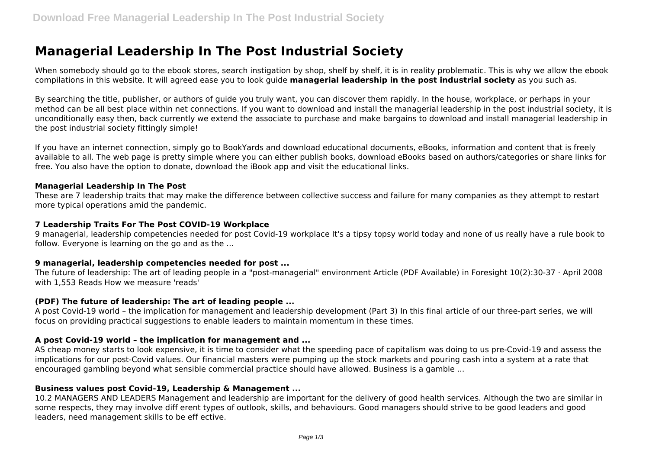# **Managerial Leadership In The Post Industrial Society**

When somebody should go to the ebook stores, search instigation by shop, shelf by shelf, it is in reality problematic. This is why we allow the ebook compilations in this website. It will agreed ease you to look guide **managerial leadership in the post industrial society** as you such as.

By searching the title, publisher, or authors of guide you truly want, you can discover them rapidly. In the house, workplace, or perhaps in your method can be all best place within net connections. If you want to download and install the managerial leadership in the post industrial society, it is unconditionally easy then, back currently we extend the associate to purchase and make bargains to download and install managerial leadership in the post industrial society fittingly simple!

If you have an internet connection, simply go to BookYards and download educational documents, eBooks, information and content that is freely available to all. The web page is pretty simple where you can either publish books, download eBooks based on authors/categories or share links for free. You also have the option to donate, download the iBook app and visit the educational links.

#### **Managerial Leadership In The Post**

These are 7 leadership traits that may make the difference between collective success and failure for many companies as they attempt to restart more typical operations amid the pandemic.

## **7 Leadership Traits For The Post COVID-19 Workplace**

9 managerial, leadership competencies needed for post Covid-19 workplace It's a tipsy topsy world today and none of us really have a rule book to follow. Everyone is learning on the go and as the ...

#### **9 managerial, leadership competencies needed for post ...**

The future of leadership: The art of leading people in a "post-managerial" environment Article (PDF Available) in Foresight 10(2):30-37 · April 2008 with 1,553 Reads How we measure 'reads'

# **(PDF) The future of leadership: The art of leading people ...**

A post Covid-19 world – the implication for management and leadership development (Part 3) In this final article of our three-part series, we will focus on providing practical suggestions to enable leaders to maintain momentum in these times.

# **A post Covid-19 world – the implication for management and ...**

AS cheap money starts to look expensive, it is time to consider what the speeding pace of capitalism was doing to us pre-Covid-19 and assess the implications for our post-Covid values. Our financial masters were pumping up the stock markets and pouring cash into a system at a rate that encouraged gambling beyond what sensible commercial practice should have allowed. Business is a gamble ...

#### **Business values post Covid-19, Leadership & Management ...**

10.2 MANAGERS AND LEADERS Management and leadership are important for the delivery of good health services. Although the two are similar in some respects, they may involve diff erent types of outlook, skills, and behaviours. Good managers should strive to be good leaders and good leaders, need management skills to be eff ective.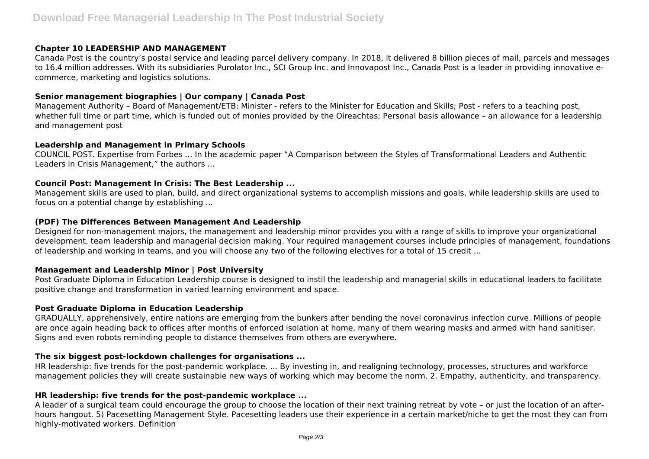## **Chapter 10 LEADERSHIP AND MANAGEMENT**

Canada Post is the country's postal service and leading parcel delivery company. In 2018, it delivered 8 billion pieces of mail, parcels and messages to 16.4 million addresses. With its subsidiaries Purolator Inc., SCI Group Inc. and Innovapost Inc., Canada Post is a leader in providing innovative ecommerce, marketing and logistics solutions.

# **Senior management biographies | Our company | Canada Post**

Management Authority – Board of Management/ETB; Minister - refers to the Minister for Education and Skills; Post - refers to a teaching post, whether full time or part time, which is funded out of monies provided by the Oireachtas; Personal basis allowance – an allowance for a leadership and management post

## **Leadership and Management in Primary Schools**

COUNCIL POST. Expertise from Forbes ... In the academic paper "A Comparison between the Styles of Transformational Leaders and Authentic Leaders in Crisis Management," the authors ...

## **Council Post: Management In Crisis: The Best Leadership ...**

Management skills are used to plan, build, and direct organizational systems to accomplish missions and goals, while leadership skills are used to focus on a potential change by establishing ...

## **(PDF) The Differences Between Management And Leadership**

Designed for non-management majors, the management and leadership minor provides you with a range of skills to improve your organizational development, team leadership and managerial decision making. Your required management courses include principles of management, foundations of leadership and working in teams, and you will choose any two of the following electives for a total of 15 credit ...

# **Management and Leadership Minor | Post University**

Post Graduate Diploma in Education Leadership course is designed to instil the leadership and managerial skills in educational leaders to facilitate positive change and transformation in varied learning environment and space.

#### **Post Graduate Diploma in Education Leadership**

GRADUALLY, apprehensively, entire nations are emerging from the bunkers after bending the novel coronavirus infection curve. Millions of people are once again heading back to offices after months of enforced isolation at home, many of them wearing masks and armed with hand sanitiser. Signs and even robots reminding people to distance themselves from others are everywhere.

# **The six biggest post-lockdown challenges for organisations ...**

HR leadership: five trends for the post-pandemic workplace. ... By investing in, and realigning technology, processes, structures and workforce management policies they will create sustainable new ways of working which may become the norm. 2. Empathy, authenticity, and transparency.

# **HR leadership: five trends for the post-pandemic workplace ...**

A leader of a surgical team could encourage the group to choose the location of their next training retreat by vote – or just the location of an afterhours hangout. 5) Pacesetting Management Style. Pacesetting leaders use their experience in a certain market/niche to get the most they can from highly-motivated workers. Definition